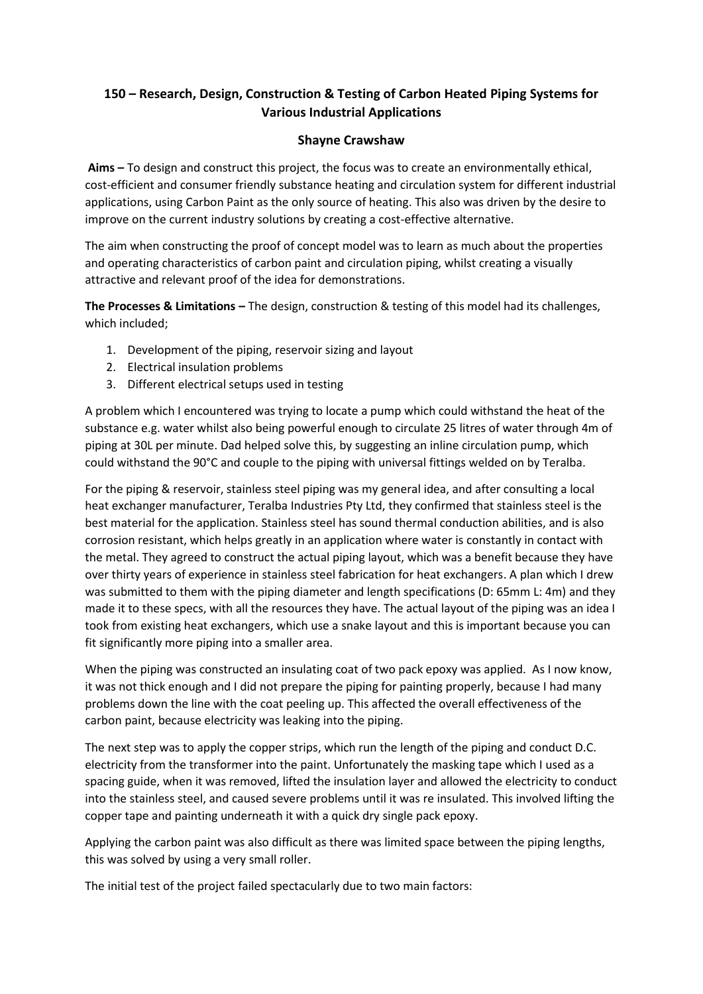## **150 – Research, Design, Construction & Testing of Carbon Heated Piping Systems for Various Industrial Applications**

## **Shayne Crawshaw**

**Aims –** To design and construct this project, the focus was to create an environmentally ethical, cost-efficient and consumer friendly substance heating and circulation system for different industrial applications, using Carbon Paint as the only source of heating. This also was driven by the desire to improve on the current industry solutions by creating a cost-effective alternative.

The aim when constructing the proof of concept model was to learn as much about the properties and operating characteristics of carbon paint and circulation piping, whilst creating a visually attractive and relevant proof of the idea for demonstrations.

**The Processes & Limitations –** The design, construction & testing of this model had its challenges, which included;

- 1. Development of the piping, reservoir sizing and layout
- 2. Electrical insulation problems
- 3. Different electrical setups used in testing

A problem which I encountered was trying to locate a pump which could withstand the heat of the substance e.g. water whilst also being powerful enough to circulate 25 litres of water through 4m of piping at 30L per minute. Dad helped solve this, by suggesting an inline circulation pump, which could withstand the 90°C and couple to the piping with universal fittings welded on by Teralba.

For the piping & reservoir, stainless steel piping was my general idea, and after consulting a local heat exchanger manufacturer, Teralba Industries Pty Ltd, they confirmed that stainless steel is the best material for the application. Stainless steel has sound thermal conduction abilities, and is also corrosion resistant, which helps greatly in an application where water is constantly in contact with the metal. They agreed to construct the actual piping layout, which was a benefit because they have over thirty years of experience in stainless steel fabrication for heat exchangers. A plan which I drew was submitted to them with the piping diameter and length specifications (D: 65mm L: 4m) and they made it to these specs, with all the resources they have. The actual layout of the piping was an idea I took from existing heat exchangers, which use a snake layout and this is important because you can fit significantly more piping into a smaller area.

When the piping was constructed an insulating coat of two pack epoxy was applied. As I now know, it was not thick enough and I did not prepare the piping for painting properly, because I had many problems down the line with the coat peeling up. This affected the overall effectiveness of the carbon paint, because electricity was leaking into the piping.

The next step was to apply the copper strips, which run the length of the piping and conduct D.C. electricity from the transformer into the paint. Unfortunately the masking tape which I used as a spacing guide, when it was removed, lifted the insulation layer and allowed the electricity to conduct into the stainless steel, and caused severe problems until it was re insulated. This involved lifting the copper tape and painting underneath it with a quick dry single pack epoxy.

Applying the carbon paint was also difficult as there was limited space between the piping lengths, this was solved by using a very small roller.

The initial test of the project failed spectacularly due to two main factors: